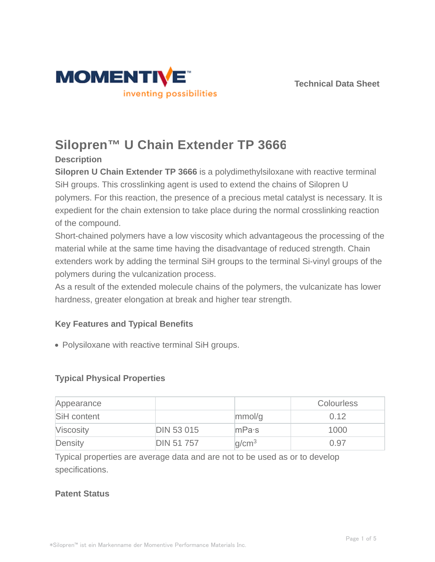

# **Silopren™ U Chain Extender TP 3666**

## **Description**

**Silopren U Chain Extender TP 3666** is a polydimethylsiloxane with reactive terminal SiH groups. This crosslinking agent is used to extend the chains of Silopren U polymers. For this reaction, the presence of a precious metal catalyst is necessary. It is expedient for the chain extension to take place during the normal crosslinking reaction of the compound.

Short-chained polymers have a low viscosity which advantageous the processing of the material while at the same time having the disadvantage of reduced strength. Chain extenders work by adding the terminal SiH groups to the terminal Si-vinyl groups of the polymers during the vulcanization process.

As a result of the extended molecule chains of the polymers, the vulcanizate has lower hardness, greater elongation at break and higher tear strength.

# **Key Features and Typical Benefits**

Polysiloxane with reactive terminal SiH groups.

## **Typical Physical Properties**

| Appearance       |                   |                   | <b>Colourless</b> |
|------------------|-------------------|-------------------|-------------------|
| SiH content      |                   | mmol/g            | 0.12              |
| <b>Viscosity</b> | <b>DIN 53 015</b> | mPa·s             | 1000              |
| Density          | <b>DIN 51 757</b> | q/cm <sup>3</sup> | 0.97              |

Typical properties are average data and are not to be used as or to develop specifications.

## **Patent Status**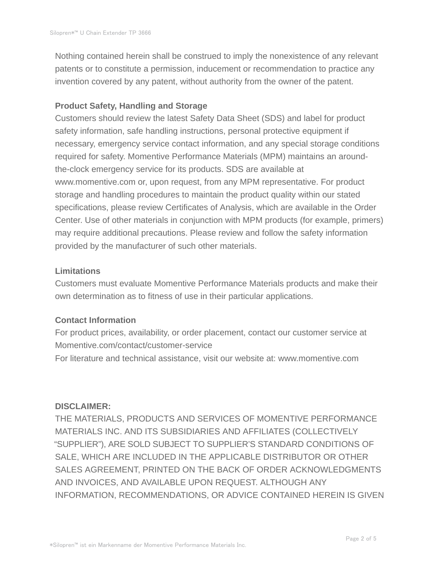Nothing contained herein shall be construed to imply the nonexistence of any relevant patents or to constitute a permission, inducement or recommendation to practice any invention covered by any patent, without authority from the owner of the patent.

#### **Product Safety, Handling and Storage**

Customers should review the latest Safety Data Sheet (SDS) and label for product safety information, safe handling instructions, personal protective equipment if necessary, emergency service contact information, and any special storage conditions required for safety. Momentive Performance Materials (MPM) maintains an aroundthe-clock emergency service for its products. SDS are available at www.momentive.com or, upon request, from any MPM representative. For product storage and handling procedures to maintain the product quality within our stated specifications, please review Certificates of Analysis, which are available in the Order Center. Use of other materials in conjunction with MPM products (for example, primers) may require additional precautions. Please review and follow the safety information provided by the manufacturer of such other materials.

#### **Limitations**

Customers must evaluate Momentive Performance Materials products and make their own determination as to fitness of use in their particular applications.

#### **Contact Information**

For product prices, availability, or order placement, contact our customer service at Momentive.com/contact/customer-service

For literature and technical assistance, visit our website at: www.momentive.com

#### **DISCLAIMER:**

THE MATERIALS, PRODUCTS AND SERVICES OF MOMENTIVE PERFORMANCE MATERIALS INC. AND ITS SUBSIDIARIES AND AFFILIATES (COLLECTIVELY "SUPPLIER"), ARE SOLD SUBJECT TO SUPPLIER'S STANDARD CONDITIONS OF SALE, WHICH ARE INCLUDED IN THE APPLICABLE DISTRIBUTOR OR OTHER SALES AGREEMENT, PRINTED ON THE BACK OF ORDER ACKNOWLEDGMENTS AND INVOICES, AND AVAILABLE UPON REQUEST. ALTHOUGH ANY INFORMATION, RECOMMENDATIONS, OR ADVICE CONTAINED HEREIN IS GIVEN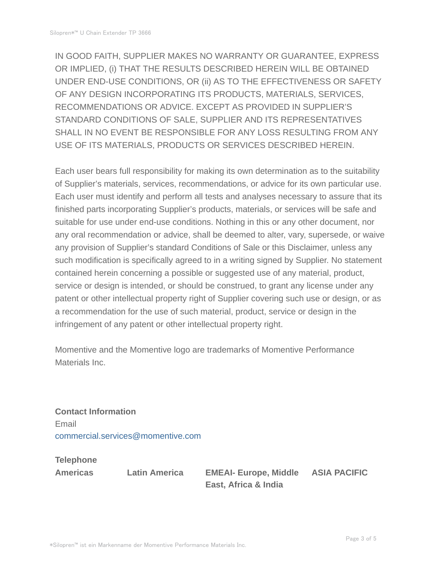IN GOOD FAITH, SUPPLIER MAKES NO WARRANTY OR GUARANTEE, EXPRESS OR IMPLIED, (i) THAT THE RESULTS DESCRIBED HEREIN WILL BE OBTAINED UNDER END-USE CONDITIONS, OR (ii) AS TO THE EFFECTIVENESS OR SAFETY OF ANY DESIGN INCORPORATING ITS PRODUCTS, MATERIALS, SERVICES, RECOMMENDATIONS OR ADVICE. EXCEPT AS PROVIDED IN SUPPLIER'S STANDARD CONDITIONS OF SALE, SUPPLIER AND ITS REPRESENTATIVES SHALL IN NO EVENT BE RESPONSIBLE FOR ANY LOSS RESULTING FROM ANY USE OF ITS MATERIALS, PRODUCTS OR SERVICES DESCRIBED HEREIN.

Each user bears full responsibility for making its own determination as to the suitability of Supplier's materials, services, recommendations, or advice for its own particular use. Each user must identify and perform all tests and analyses necessary to assure that its finished parts incorporating Supplier's products, materials, or services will be safe and suitable for use under end-use conditions. Nothing in this or any other document, nor any oral recommendation or advice, shall be deemed to alter, vary, supersede, or waive any provision of Supplier's standard Conditions of Sale or this Disclaimer, unless any such modification is specifically agreed to in a writing signed by Supplier. No statement contained herein concerning a possible or suggested use of any material, product, service or design is intended, or should be construed, to grant any license under any patent or other intellectual property right of Supplier covering such use or design, or as a recommendation for the use of such material, product, service or design in the infringement of any patent or other intellectual property right.

Momentive and the Momentive logo are trademarks of Momentive Performance Materials Inc.

**Contact Information** Email commercial.services@momentive.com

**Telephone**

**Americas Latin America EMEAI- Europe, Middle East, Africa & India**

**ASIA PACIFIC**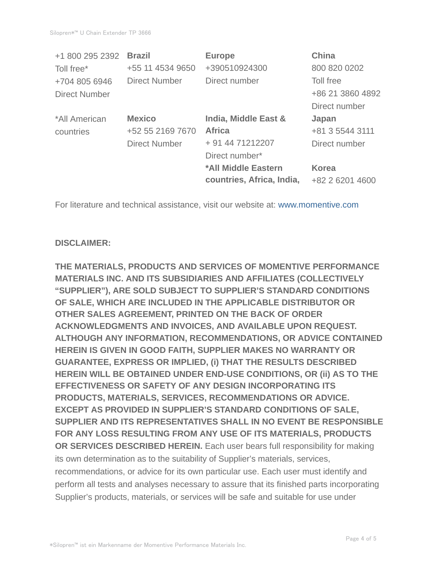| <b>Brazil</b>        | <b>Europe</b>             | <b>China</b>     |
|----------------------|---------------------------|------------------|
| +55 11 4534 9650     | +390510924300             | 800 820 0202     |
| <b>Direct Number</b> | Direct number             | Toll free        |
|                      |                           | +86 21 3860 4892 |
|                      |                           | Direct number    |
| <b>Mexico</b>        | India, Middle East &      | Japan            |
| +52 55 2169 7670     | <b>Africa</b>             | +81 3 5544 3111  |
| <b>Direct Number</b> | + 91 44 71212207          | Direct number    |
|                      | Direct number*            |                  |
|                      | *All Middle Eastern       | <b>Korea</b>     |
|                      | countries, Africa, India, | +82 2 6201 4600  |
|                      |                           |                  |

For literature and technical assistance, visit our website at: www.momentive.com

#### **DISCLAIMER:**

**THE MATERIALS, PRODUCTS AND SERVICES OF MOMENTIVE PERFORMANCE MATERIALS INC. AND ITS SUBSIDIARIES AND AFFILIATES (COLLECTIVELY "SUPPLIER"), ARE SOLD SUBJECT TO SUPPLIER'S STANDARD CONDITIONS OF SALE, WHICH ARE INCLUDED IN THE APPLICABLE DISTRIBUTOR OR OTHER SALES AGREEMENT, PRINTED ON THE BACK OF ORDER ACKNOWLEDGMENTS AND INVOICES, AND AVAILABLE UPON REQUEST. ALTHOUGH ANY INFORMATION, RECOMMENDATIONS, OR ADVICE CONTAINED HEREIN IS GIVEN IN GOOD FAITH, SUPPLIER MAKES NO WARRANTY OR GUARANTEE, EXPRESS OR IMPLIED, (i) THAT THE RESULTS DESCRIBED HEREIN WILL BE OBTAINED UNDER END-USE CONDITIONS, OR (ii) AS TO THE EFFECTIVENESS OR SAFETY OF ANY DESIGN INCORPORATING ITS PRODUCTS, MATERIALS, SERVICES, RECOMMENDATIONS OR ADVICE. EXCEPT AS PROVIDED IN SUPPLIER'S STANDARD CONDITIONS OF SALE, SUPPLIER AND ITS REPRESENTATIVES SHALL IN NO EVENT BE RESPONSIBLE FOR ANY LOSS RESULTING FROM ANY USE OF ITS MATERIALS, PRODUCTS OR SERVICES DESCRIBED HEREIN.** Each user bears full responsibility for making its own determination as to the suitability of Supplier's materials, services, recommendations, or advice for its own particular use. Each user must identify and perform all tests and analyses necessary to assure that its finished parts incorporating Supplier's products, materials, or services will be safe and suitable for use under